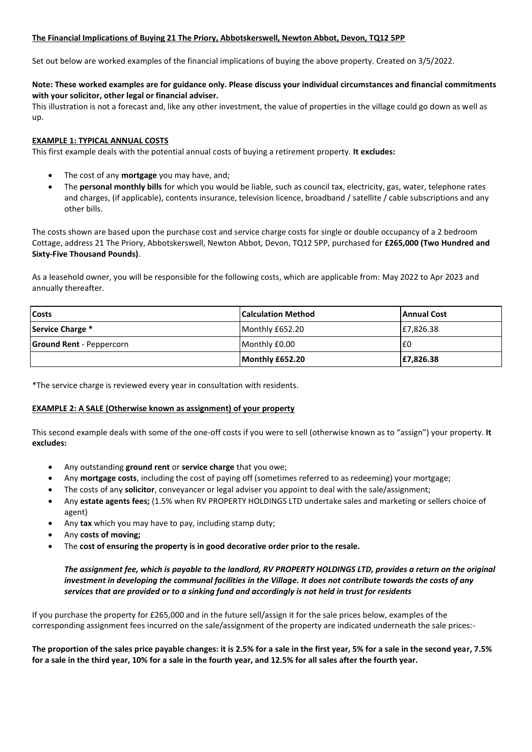## **The Financial Implications of Buying 21 The Priory, Abbotskerswell, Newton Abbot, Devon, TQ12 5PP**

Set out below are worked examples of the financial implications of buying the above property. Created on 3/5/2022.

## **Note: These worked examples are for guidance only. Please discuss your individual circumstances and financial commitments with your solicitor, other legal or financial adviser.**

This illustration is not a forecast and, like any other investment, the value of properties in the village could go down as well as up.

## **EXAMPLE 1: TYPICAL ANNUAL COSTS**

This first example deals with the potential annual costs of buying a retirement property. **It excludes:**

- The cost of any **mortgage** you may have, and;
- The **personal monthly bills** for which you would be liable, such as council tax, electricity, gas, water, telephone rates and charges, (if applicable), contents insurance, television licence, broadband / satellite / cable subscriptions and any other bills.

The costs shown are based upon the purchase cost and service charge costs for single or double occupancy of a 2 bedroom Cottage, address 21 The Priory, Abbotskerswell, Newton Abbot, Devon, TQ12 5PP, purchased for **£265,000 (Two Hundred and Sixty-Five Thousand Pounds)**.

As a leasehold owner, you will be responsible for the following costs, which are applicable from: May 2022 to Apr 2023 and annually thereafter.

| <b>Costs</b>                    | <b>Calculation Method</b> | <b>Annual Cost</b> |
|---------------------------------|---------------------------|--------------------|
| Service Charge *                | Monthly £652.20           | £7,826.38          |
| <b>Ground Rent</b> - Peppercorn | Monthly £0.00             | £0                 |
|                                 | Monthly £652.20           | £7,826.38          |

\*The service charge is reviewed every year in consultation with residents.

## **EXAMPLE 2: A SALE (Otherwise known as assignment) of your property**

This second example deals with some of the one-off costs if you were to sell (otherwise known as to "assign") your property. **It excludes:**

- Any outstanding **ground rent** or **service charge** that you owe;
- Any **mortgage costs**, including the cost of paying off (sometimes referred to as redeeming) your mortgage;
- The costs of any **solicitor**, conveyancer or legal adviser you appoint to deal with the sale/assignment;
- Any **estate agents fees;** (1.5% when RV PROPERTY HOLDINGS LTD undertake sales and marketing or sellers choice of agent)
- Any **tax** which you may have to pay, including stamp duty;
- Any **costs of moving;**
- The **cost of ensuring the property is in good decorative order prior to the resale.**

*The assignment fee, which is payable to the landlord, RV PROPERTY HOLDINGS LTD, provides a return on the original investment in developing the communal facilities in the Village. It does not contribute towards the costs of any services that are provided or to a sinking fund and accordingly is not held in trust for residents*

If you purchase the property for £265,000 and in the future sell/assign it for the sale prices below, examples of the corresponding assignment fees incurred on the sale/assignment of the property are indicated underneath the sale prices:-

**The proportion of the sales price payable changes: it is 2.5% for a sale in the first year, 5% for a sale in the second year, 7.5% for a sale in the third year, 10% for a sale in the fourth year, and 12.5% for all sales after the fourth year.**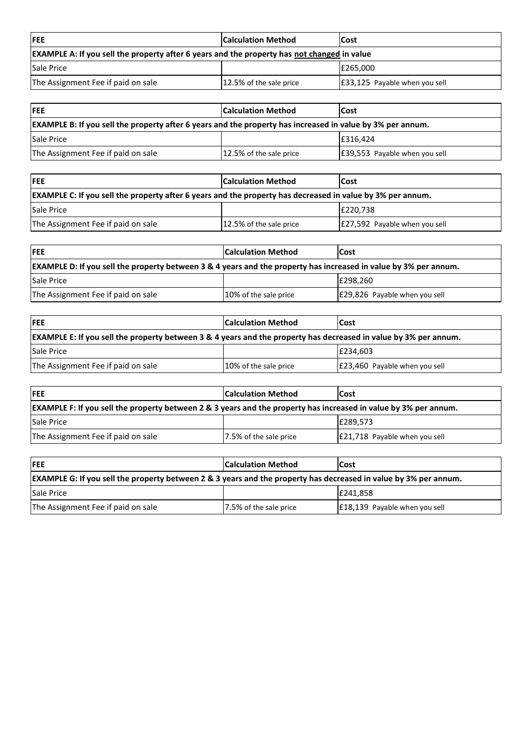| <b>IFEE</b>                                                                                        | <b>Calculation Method</b> | <b>ICost</b>                  |
|----------------------------------------------------------------------------------------------------|---------------------------|-------------------------------|
| <b>EXAMPLE A: If you sell the property after 6 years and the property has not changed in value</b> |                           |                               |
| <b>Sale Price</b>                                                                                  |                           | E265.000                      |
| The Assignment Fee if paid on sale                                                                 | 12.5% of the sale price   | E33,125 Payable when you sell |

| <b>IFEE</b>                                                                                                       | <b>Calculation Method</b> | Cost                          |
|-------------------------------------------------------------------------------------------------------------------|---------------------------|-------------------------------|
| <b>EXAMPLE B: If you sell the property after 6 years and the property has increased in value by 3% per annum.</b> |                           |                               |
| <b>Sale Price</b>                                                                                                 |                           | E316.424                      |
| The Assignment Fee if paid on sale                                                                                | 12.5% of the sale price   | E39,553 Payable when you sell |

| <b>IFEE</b>                                                                                                       | <b>Calculation Method</b> | <b>Cost</b>                   |
|-------------------------------------------------------------------------------------------------------------------|---------------------------|-------------------------------|
| <b>EXAMPLE C:</b> If you sell the property after 6 years and the property has decreased in value by 3% per annum. |                           |                               |
| <b>Sale Price</b>                                                                                                 |                           | E220.738                      |
| The Assignment Fee if paid on sale                                                                                | 12.5% of the sale price   | E27,592 Payable when you sell |

| <b>IFEE</b>                                                                                                             | <b>Calculation Method</b> | <b>ICost</b>                  |
|-------------------------------------------------------------------------------------------------------------------------|---------------------------|-------------------------------|
| <b>EXAMPLE D:</b> If you sell the property between 3 & 4 years and the property has increased in value by 3% per annum. |                           |                               |
| <b>Sale Price</b>                                                                                                       |                           | E298.260                      |
| The Assignment Fee if paid on sale                                                                                      | 10% of the sale price     | E29,826 Payable when you sell |

| <b>IFEE</b>                                                                                                                 | <b>Calculation Method</b> | <b>Cost</b>                   |
|-----------------------------------------------------------------------------------------------------------------------------|---------------------------|-------------------------------|
| <b>EXAMPLE E: If you sell the property between 3 &amp; 4 years and the property has decreased in value by 3% per annum.</b> |                           |                               |
| <b>Sale Price</b>                                                                                                           |                           | E234.603                      |
| The Assignment Fee if paid on sale                                                                                          | 10% of the sale price     | E23,460 Payable when you sell |

| <b>IFEE</b>                                                                                                      | <b>Calculation Method</b> | <b>ICost</b>                  |
|------------------------------------------------------------------------------------------------------------------|---------------------------|-------------------------------|
| EXAMPLE F: If you sell the property between 2 & 3 years and the property has increased in value by 3% per annum. |                           |                               |
| <b>Sale Price</b>                                                                                                |                           | E289.573                      |
| The Assignment Fee if paid on sale                                                                               | 7.5% of the sale price    | E21,718 Payable when you sell |

| <b>IFEE</b>                                                                                                                 | <b>Calculation Method</b> | <b>Cost</b>                   |
|-----------------------------------------------------------------------------------------------------------------------------|---------------------------|-------------------------------|
| <b>EXAMPLE G: If you sell the property between 2 &amp; 3 years and the property has decreased in value by 3% per annum.</b> |                           |                               |
| <b>Sale Price</b>                                                                                                           |                           | E241.858                      |
| The Assignment Fee if paid on sale                                                                                          | 7.5% of the sale price    | E18,139 Payable when you sell |